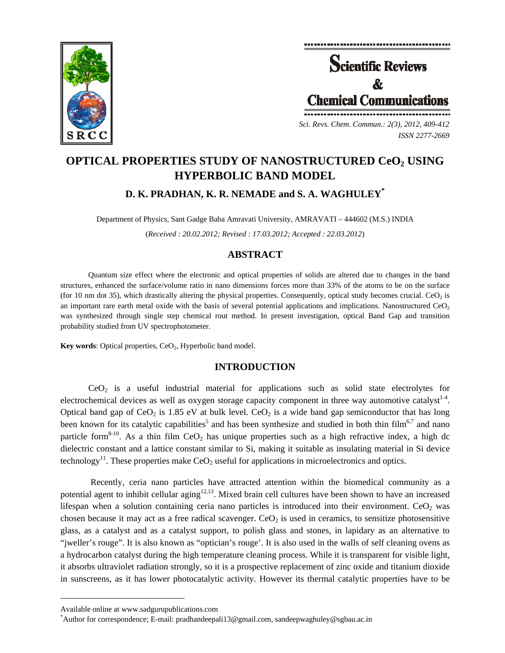



*ISSN 2277-2669* 

# **OPTICAL PROPERTIES STUDY OF NANOSTRUCTURED CeO2 USING HYPERBOLIC BAND MODEL**

# **D. K. PRADHAN, K. R. NEMADE and S. A. WAGHULEY\***

Department of Physics, Sant Gadge Baba Amravati University, AMRAVATI – 444602 (M.S.) INDIA (*Received : 20.02.2012; Revised : 17.03.2012; Accepted : 22.03.2012*)

## **ABSTRACT**

Quantum size effect where the electronic and optical properties of solids are altered due to changes in the band structures, enhanced the surface/volume ratio in nano dimensions forces more than 33% of the atoms to be on the surface (for 10 nm dot 35), which drastically altering the physical properties. Consequently, optical study becomes crucial.  $CeO<sub>2</sub>$  is an important rare earth metal oxide with the basis of several potential applications and implications. Nanostructured  $CeO<sub>2</sub>$ was synthesized through single step chemical rout method. In present investigation, optical Band Gap and transition probability studied from UV spectrophotometer.

**Key words:** Optical properties, CeO<sub>2</sub>, Hyperbolic band model.

# **INTRODUCTION**

 $CeO<sub>2</sub>$  is a useful industrial material for applications such as solid state electrolytes for electrochemical devices as well as oxygen storage capacity component in three way automotive catalyst<sup>1-4</sup>. Optical band gap of  $CeO<sub>2</sub>$  is 1.85 eV at bulk level.  $CeO<sub>2</sub>$  is a wide band gap semiconductor that has long been known for its catalytic capabilities<sup>5</sup> and has been synthesize and studied in both thin film<sup>6,7</sup> and nano particle form<sup>8-10</sup>. As a thin film CeO<sub>2</sub> has unique properties such as a high refractive index, a high dc dielectric constant and a lattice constant similar to Si, making it suitable as insulating material in Si device technology<sup>11</sup>. These properties make CeO<sub>2</sub> useful for applications in microelectronics and optics.

 Recently, ceria nano particles have attracted attention within the biomedical community as a potential agent to inhibit cellular aging<sup>12,13</sup>. Mixed brain cell cultures have been shown to have an increased lifespan when a solution containing ceria nano particles is introduced into their environment.  $CeO<sub>2</sub>$  was chosen because it may act as a free radical scavenger.  $CeO<sub>2</sub>$  is used in ceramics, to sensitize photosensitive glass, as a catalyst and as a catalyst support, to polish glass and stones, in lapidary as an alternative to "jweller's rouge". It is also known as "optician's rouge'. It is also used in the walls of self cleaning ovens as a hydrocarbon catalyst during the high temperature cleaning process. While it is transparent for visible light, it absorbs ultraviolet radiation strongly, so it is a prospective replacement of zinc oxide and titanium dioxide in sunscreens, as it has lower photocatalytic activity. However its thermal catalytic properties have to be

**\_\_\_\_\_\_\_\_\_\_\_\_\_\_\_\_\_\_\_\_\_\_\_\_\_\_\_\_\_\_\_\_\_\_\_\_\_\_\_\_**

Available online at www.sadgurupublications.com \*

 $*$ Author for correspondence; E-mail: pradhandeepali13@gmail.com, sandeepwaghuley@sgbau.ac.in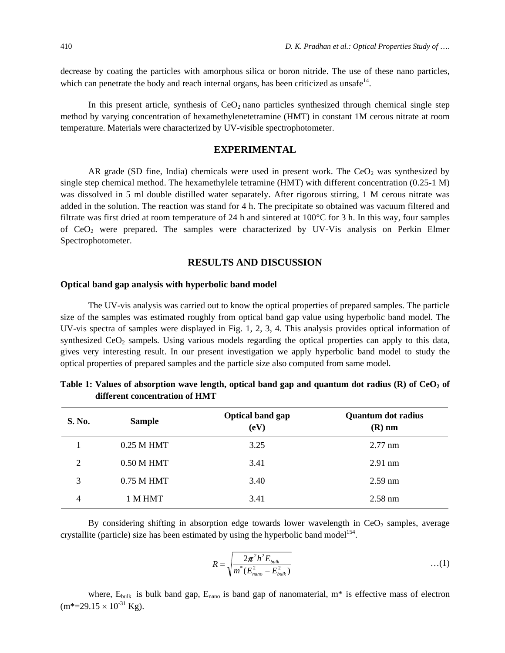decrease by coating the particles with amorphous silica or boron nitride. The use of these nano particles, which can penetrate the body and reach internal organs, has been criticized as unsafe<sup>14</sup>.

In this present article, synthesis of  $CeO<sub>2</sub>$  nano particles synthesized through chemical single step method by varying concentration of hexamethylenetetramine (HMT) in constant 1M cerous nitrate at room temperature. Materials were characterized by UV-visible spectrophotometer.

## **EXPERIMENTAL**

AR grade (SD fine, India) chemicals were used in present work. The  $CeO<sub>2</sub>$  was synthesized by single step chemical method. The hexamethylele tetramine (HMT) with different concentration (0.25-1 M) was dissolved in 5 ml double distilled water separately. After rigorous stirring, 1 M cerous nitrate was added in the solution. The reaction was stand for 4 h. The precipitate so obtained was vacuum filtered and filtrate was first dried at room temperature of 24 h and sintered at 100°C for 3 h. In this way, four samples of  $CeO<sub>2</sub>$  were prepared. The samples were characterized by UV-Vis analysis on Perkin Elmer Spectrophotometer.

#### **RESULTS AND DISCUSSION**

#### **Optical band gap analysis with hyperbolic band model**

The UV-vis analysis was carried out to know the optical properties of prepared samples. The particle size of the samples was estimated roughly from optical band gap value using hyperbolic band model. The UV-vis spectra of samples were displayed in Fig. 1, 2, 3, 4. This analysis provides optical information of synthesized  $CeO<sub>2</sub>$  sampels. Using various models regarding the optical properties can apply to this data, gives very interesting result. In our present investigation we apply hyperbolic band model to study the optical properties of prepared samples and the particle size also computed from same model.

| <b>S. No.</b>  | <b>Sample</b> | Optical band gap<br>(eV) | <b>Quantum dot radius</b><br>$(R)$ nm |
|----------------|---------------|--------------------------|---------------------------------------|
|                | $0.25$ M HMT  | 3.25                     | $2.77$ nm                             |
| $\overline{2}$ | $0.50$ M HMT  | 3.41                     | $2.91$ nm                             |
| 3              | $0.75$ M HMT  | 3.40                     | $2.59$ nm                             |
| 4              | 1 M HMT       | 3.41                     | $2.58$ nm                             |

Table 1: Values of absorption wave length, optical band gap and quantum dot radius (R) of CeO<sub>2</sub> of **different concentration of HMT** 

By considering shifting in absorption edge towards lower wavelength in  $CeO<sub>2</sub>$  samples, average crystallite (particle) size has been estimated by using the hyperbolic band model<sup>154</sup>.

$$
R = \sqrt{\frac{2\pi^2 h^2 E_{bulk}}{m^*(E_{nano}^2 - E_{bulk}^2)}}
$$
...(1)

where,  $E_{bulk}$  is bulk band gap,  $E_{nano}$  is band gap of nanomaterial,  $m^*$  is effective mass of electron  $(m*=29.15\times10^{-31} \text{ kg})$ .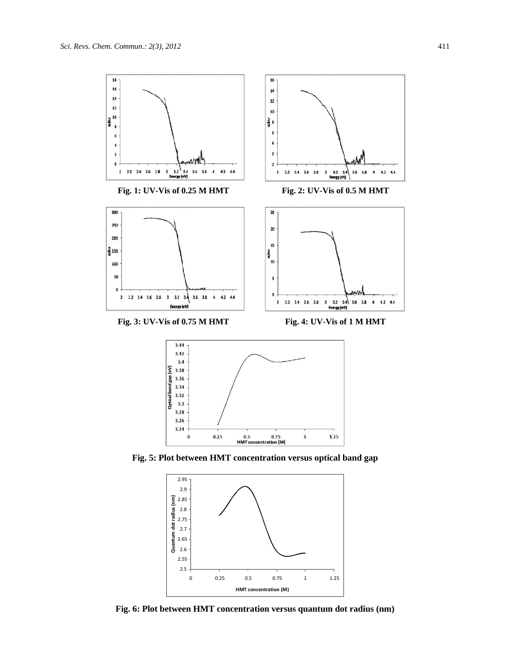



**Fig. 5: Plot between HMT concentration versus optical band gap**



**Fig. 6: Plot between HMT concentration versus quantum dot radius (nm)**